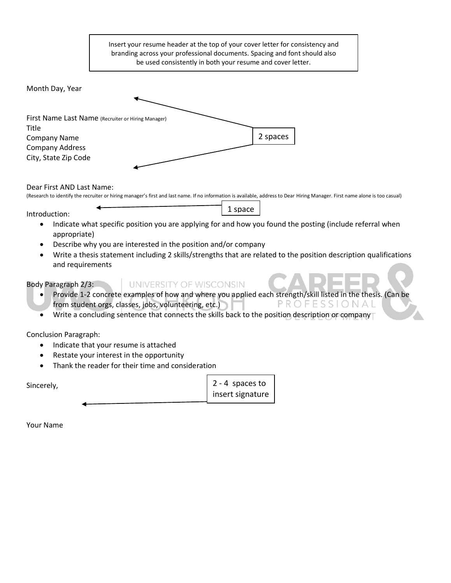Insert your resume header at the top of your cover letter for consistency and branding across your professional documents. Spacing and font should also be used consistently in both your resume and cover letter.

Month Day, Year

| First Name Last Name (Recruiter or Hiring Manager) |          |
|----------------------------------------------------|----------|
| Title                                              |          |
| <b>Company Name</b>                                | 2 spaces |
| <b>Company Address</b>                             |          |
| City, State Zip Code                               |          |

Dear First AND Last Name:

(Research to identify the recruiter or hiring manager's first and last name. If no information is available, address to Dear Hiring Manager. First name alone is too casual)

Introduction:

• Indicate what specific position you are applying for and how you found the posting (include referral when appropriate)

1 space

- Describe why you are interested in the position and/or company
- Write a thesis statement including 2 skills/strengths that are related to the position description qualifications and requirements

Body Paragraph 2/3:

- UNIVERSITY OF WISCONSIN
- Provide 1-2 concrete examples of how and where you applied each strength/skill listed in the thesis. (Can be from student orgs, classes, jobs, volunteering, etc.) PROFESSIONAL
- Write a concluding sentence that connects the skills back to the position description or company

Conclusion Paragraph:

- Indicate that your resume is attached
- Restate your interest in the opportunity
- Thank the reader for their time and consideration

2 - 4 spaces to insert signature Sincerely,

Your Name